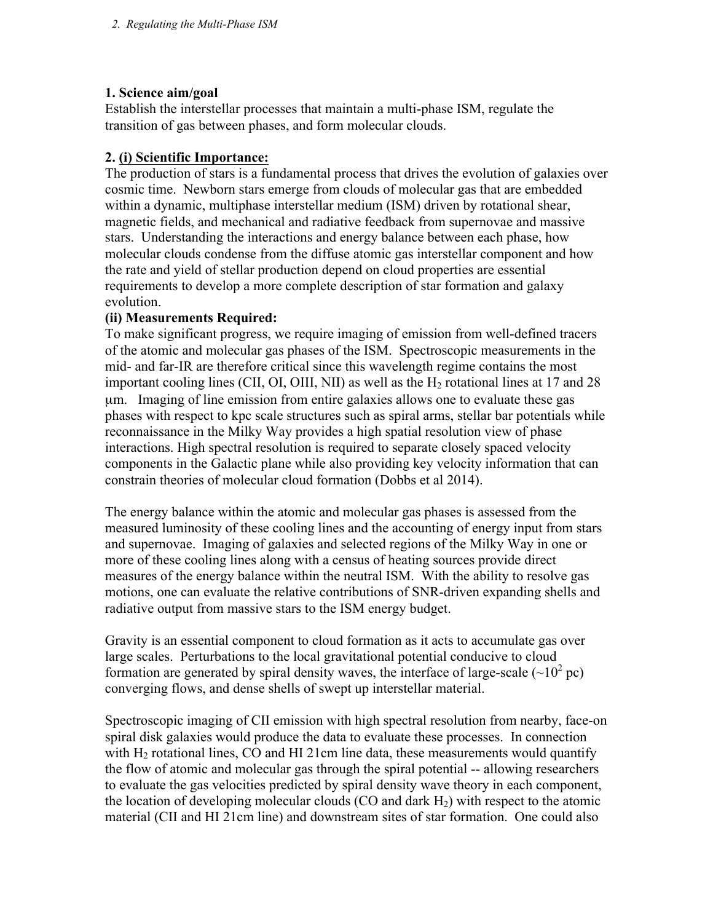### **1. Science aim/goal**

Establish the interstellar processes that maintain a multi-phase ISM, regulate the transition of gas between phases, and form molecular clouds.

### **2. (i) Scientific Importance:**

The production of stars is a fundamental process that drives the evolution of galaxies over cosmic time. Newborn stars emerge from clouds of molecular gas that are embedded within a dynamic, multiphase interstellar medium (ISM) driven by rotational shear, magnetic fields, and mechanical and radiative feedback from supernovae and massive stars. Understanding the interactions and energy balance between each phase, how molecular clouds condense from the diffuse atomic gas interstellar component and how the rate and yield of stellar production depend on cloud properties are essential requirements to develop a more complete description of star formation and galaxy evolution.

### **(ii) Measurements Required:**

To make significant progress, we require imaging of emission from well-defined tracers of the atomic and molecular gas phases of the ISM. Spectroscopic measurements in the mid- and far-IR are therefore critical since this wavelength regime contains the most important cooling lines (CII, OI, OIII, NII) as well as the  $H<sub>2</sub>$  rotational lines at 17 and 28 µm. Imaging of line emission from entire galaxies allows one to evaluate these gas phases with respect to kpc scale structures such as spiral arms, stellar bar potentials while reconnaissance in the Milky Way provides a high spatial resolution view of phase interactions. High spectral resolution is required to separate closely spaced velocity components in the Galactic plane while also providing key velocity information that can constrain theories of molecular cloud formation (Dobbs et al 2014).

The energy balance within the atomic and molecular gas phases is assessed from the measured luminosity of these cooling lines and the accounting of energy input from stars and supernovae. Imaging of galaxies and selected regions of the Milky Way in one or more of these cooling lines along with a census of heating sources provide direct measures of the energy balance within the neutral ISM. With the ability to resolve gas motions, one can evaluate the relative contributions of SNR-driven expanding shells and radiative output from massive stars to the ISM energy budget.

Gravity is an essential component to cloud formation as it acts to accumulate gas over large scales. Perturbations to the local gravitational potential conducive to cloud formation are generated by spiral density waves, the interface of large-scale  $(\sim 10^2 \text{ pc})$ converging flows, and dense shells of swept up interstellar material.

Spectroscopic imaging of CII emission with high spectral resolution from nearby, face-on spiral disk galaxies would produce the data to evaluate these processes. In connection with  $H_2$  rotational lines, CO and HI 21cm line data, these measurements would quantify the flow of atomic and molecular gas through the spiral potential -- allowing researchers to evaluate the gas velocities predicted by spiral density wave theory in each component, the location of developing molecular clouds (CO and dark  $H_2$ ) with respect to the atomic material (CII and HI 21cm line) and downstream sites of star formation. One could also